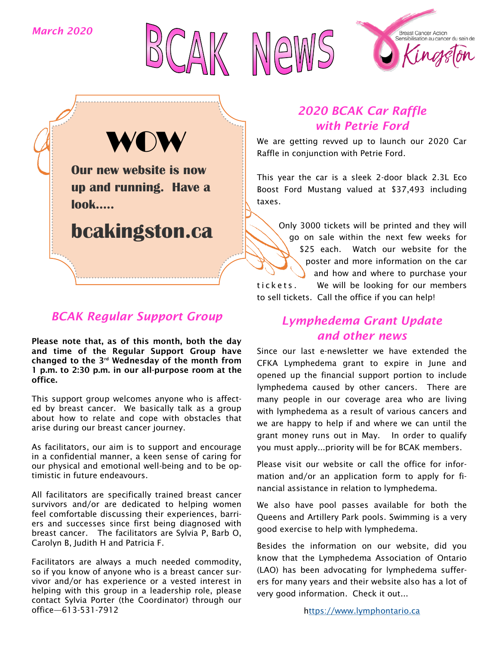*March 2020*







**Our new website is now up and running. Have a look….. WOW** 

**bcakingston.ca**

## *BCAK Regular Support Group*

Please note that, as of this month, both the day and time of the Regular Support Group have changed to the  $3<sup>rd</sup>$  Wednesday of the month from 1 p.m. to 2:30 p.m. in our all-purpose room at the office.

This support group welcomes anyone who is affected by breast cancer. We basically talk as a group about how to relate and cope with obstacles that arise during our breast cancer journey.

As facilitators, our aim is to support and encourage in a confidential manner, a keen sense of caring for our physical and emotional well-being and to be optimistic in future endeavours.

All facilitators are specifically trained breast cancer survivors and/or are dedicated to helping women feel comfortable discussing their experiences, barriers and successes since first being diagnosed with breast cancer. The facilitators are Sylvia P, Barb O, Carolyn B, Judith H and Patricia F.

Facilitators are always a much needed commodity, so if you know of anyone who is a breast cancer survivor and/or has experience or a vested interest in helping with this group in a leadership role, please contact Sylvia Porter (the Coordinator) through our office—613-531-7912

## *2020 BCAK Car Raffle with Petrie Ford*

We are getting revved up to launch our 2020 Car Raffle in conjunction with Petrie Ford.

This year the car is a sleek 2-door black 2.3L Eco Boost Ford Mustang valued at \$37,493 including taxes.

Only 3000 tickets will be printed and they will go on sale within the next few weeks for \$25 each. Watch our website for the poster and more information on the car and how and where to purchase your tickets. We will be looking for our members to sell tickets. Call the office if you can help!

## *Lymphedema Grant Update and other news*

Since our last e-newsletter we have extended the CFKA Lymphedema grant to expire in June and opened up the financial support portion to include lymphedema caused by other cancers. There are many people in our coverage area who are living with lymphedema as a result of various cancers and we are happy to help if and where we can until the grant money runs out in May. In order to qualify you must apply...priority will be for BCAK members.

Please visit our website or call the office for information and/or an application form to apply for financial assistance in relation to lymphedema.

We also have pool passes available for both the Queens and Artillery Park pools. Swimming is a very good exercise to help with lymphedema.

Besides the information on our website, did you know that the Lymphedema Association of Ontario (LAO) has been advocating for lymphedema sufferers for many years and their website also has a lot of very good information. Check it out...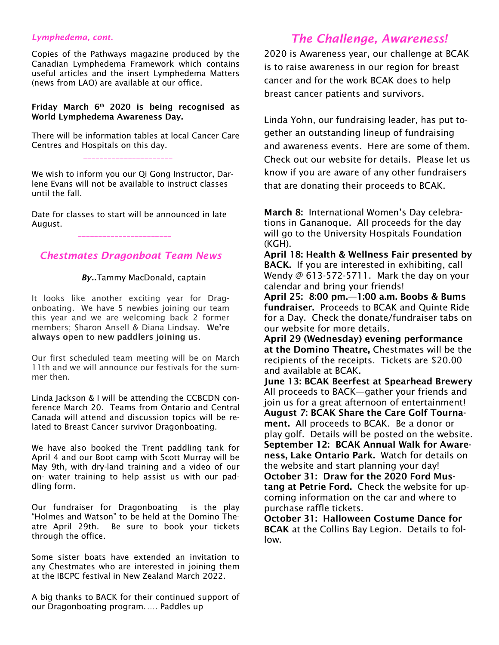#### *Lymphedema, cont.*

Copies of the Pathways magazine produced by the Canadian Lymphedema Framework which contains useful articles and the insert Lymphedema Matters (news from LAO) are available at our office.

#### Friday March  $6<sup>th</sup>$  2020 is being recognised as World Lymphedema Awareness Day.

There will be information tables at local Cancer Care Centres and Hospitals on this day.

\_\_\_\_\_\_\_\_\_\_\_\_\_\_\_\_\_\_\_\_\_\_

We wish to inform you our Qi Gong Instructor, Darlene Evans will not be available to instruct classes until the fall.

Date for classes to start will be announced in late August.

\_\_\_\_\_\_\_\_\_\_\_\_\_\_\_\_\_\_\_\_\_\_\_

#### *Chestmates Dragonboat Team News*

#### *By..*Tammy MacDonald, captain

It looks like another exciting year for Dragonboating. We have 5 newbies joining our team this year and we are welcoming back 2 former members; Sharon Ansell & Diana Lindsay. We're always open to new paddlers joining us.

Our first scheduled team meeting will be on March 11th and we will announce our festivals for the summer then.

Linda Jackson & I will be attending the CCBCDN conference March 20. Teams from Ontario and Central Canada will attend and discussion topics will be related to Breast Cancer survivor Dragonboating.

We have also booked the Trent paddling tank for April 4 and our Boot camp with Scott Murray will be May 9th, with dry-land training and a video of our on- water training to help assist us with our paddling form.

Our fundraiser for Dragonboating is the play "Holmes and Watson" to be held at the Domino Theatre April 29th. Be sure to book your tickets through the office.

Some sister boats have extended an invitation to any Chestmates who are interested in joining them at the IBCPC festival in New Zealand March 2022.

A big thanks to BACK for their continued support of our Dragonboating program.…. Paddles up

### *The Challenge, Awareness!*

2020 is Awareness year, our challenge at BCAK is to raise awareness in our region for breast cancer and for the work BCAK does to help breast cancer patients and survivors.

Linda Yohn, our fundraising leader, has put together an outstanding lineup of fundraising and awareness events. Here are some of them. Check out our website for details. Please let us know if you are aware of any other fundraisers that are donating their proceeds to BCAK.

March 8: International Women's Day celebrations in Gananoque. All proceeds for the day will go to the University Hospitals Foundation (KGH).

April 18: Health & Wellness Fair presented by BACK. If you are interested in exhibiting, call Wendy  $@$  613-572-5711. Mark the day on your calendar and bring your friends!

April 25: 8:00 pm.—1:00 a.m. Boobs & Bums fundraiser. Proceeds to BCAK and Quinte Ride for a Day. Check the donate/fundraiser tabs on our website for more details.

April 29 (Wednesday) evening performance at the Domino Theatre, Chestmates will be the recipients of the receipts. Tickets are \$20.00 and available at BCAK.

June 13: BCAK Beerfest at Spearhead Brewery All proceeds to BACK—gather your friends and join us for a great afternoon of entertainment! August 7: BCAK Share the Care Golf Tournament. All proceeds to BCAK. Be a donor or play golf. Details will be posted on the website. September 12: BCAK Annual Walk for Awareness, Lake Ontario Park. Watch for details on the website and start planning your day! October 31: Draw for the 2020 Ford Mustang at Petrie Ford. Check the website for upcoming information on the car and where to purchase raffle tickets.

October 31: Halloween Costume Dance for BCAK at the Collins Bay Legion. Details to follow.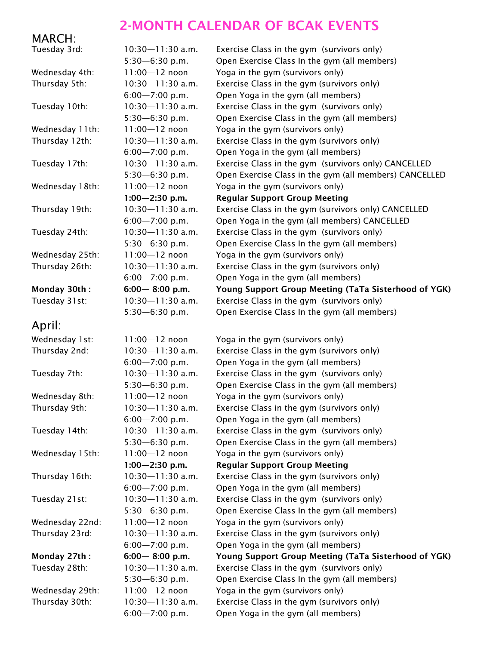# 2-MONTH CALENDAR OF BCAK EVENTS

# MARCH:

| Tuesday 3rd:    | $10:30 - 11:30$ a.m.                       | Exercise Class in the gym (survivors only)                                       |
|-----------------|--------------------------------------------|----------------------------------------------------------------------------------|
|                 | $5:30 - 6:30$ p.m.                         | Open Exercise Class In the gym (all members)                                     |
| Wednesday 4th:  | $11:00 - 12$ noon                          | Yoga in the gym (survivors only)                                                 |
| Thursday 5th:   | $10:30 - 11:30$ a.m.                       | Exercise Class in the gym (survivors only)                                       |
|                 | $6:00 - 7:00$ p.m.                         | Open Yoga in the gym (all members)                                               |
| Tuesday 10th:   | $10:30 - 11:30$ a.m.                       | Exercise Class in the gym (survivors only)                                       |
|                 | $5:30 - 6:30$ p.m.                         | Open Exercise Class in the gym (all members)                                     |
| Wednesday 11th: | $11:00 - 12$ noon                          | Yoga in the gym (survivors only)                                                 |
| Thursday 12th:  | $10:30 - 11:30$ a.m.                       | Exercise Class in the gym (survivors only)                                       |
|                 | $6:00 - 7:00$ p.m.                         | Open Yoga in the gym (all members)                                               |
| Tuesday 17th:   | $10:30 - 11:30$ a.m.                       | Exercise Class in the gym (survivors only) CANCELLED                             |
|                 | $5:30 - 6:30$ p.m.                         | Open Exercise Class in the gym (all members) CANCELLED                           |
| Wednesday 18th: | $11:00 - 12$ noon                          | Yoga in the gym (survivors only)                                                 |
|                 | $1:00 - 2:30$ p.m.                         | <b>Regular Support Group Meeting</b>                                             |
| Thursday 19th:  | $10:30 - 11:30$ a.m.                       | Exercise Class in the gym (survivors only) CANCELLED                             |
|                 | $6:00 - 7:00$ p.m.                         | Open Yoga in the gym (all members) CANCELLED                                     |
| Tuesday 24th:   | $10:30 - 11:30$ a.m.                       | Exercise Class in the gym (survivors only)                                       |
|                 | $5:30 - 6:30$ p.m.                         | Open Exercise Class In the gym (all members)                                     |
| Wednesday 25th: | $11:00 - 12$ noon                          | Yoga in the gym (survivors only)                                                 |
| Thursday 26th:  | $10:30 - 11:30$ a.m.                       | Exercise Class in the gym (survivors only)                                       |
|                 | $6:00 - 7:00$ p.m.                         | Open Yoga in the gym (all members)                                               |
| Monday 30th:    | $6:00 - 8:00$ p.m.                         | Young Support Group Meeting (TaTa Sisterhood of YGK)                             |
| Tuesday 31st:   | $10:30 - 11:30$ a.m.                       | Exercise Class in the gym (survivors only)                                       |
|                 | $5:30 - 6:30$ p.m.                         | Open Exercise Class In the gym (all members)                                     |
| April:          |                                            |                                                                                  |
|                 |                                            |                                                                                  |
| Wednesday 1st:  | $11:00 - 12$ noon                          | Yoga in the gym (survivors only)                                                 |
| Thursday 2nd:   | $10:30 - 11:30$ a.m.                       | Exercise Class in the gym (survivors only)                                       |
|                 | $6:00 - 7:00$ p.m.                         | Open Yoga in the gym (all members)                                               |
| Tuesday 7th:    | $10:30 - 11:30$ a.m.                       | Exercise Class in the gym (survivors only)                                       |
|                 | $5:30 - 6:30$ p.m.                         | Open Exercise Class in the gym (all members)                                     |
| Wednesday 8th:  | $11:00 - 12$ noon                          | Yoga in the gym (survivors only)                                                 |
| Thursday 9th:   | $10:30 - 11:30$ a.m.                       | Exercise Class in the gym (survivors only)                                       |
|                 | $6:00 - 7:00$ p.m.                         | Open Yoga in the gym (all members)                                               |
| Tuesday 14th:   | $10:30 - 11:30$ a.m.                       | Exercise Class in the gym (survivors only)                                       |
|                 | $5:30 - 6:30$ p.m.                         | Open Exercise Class in the gym (all members)                                     |
| Wednesday 15th: | $11:00 - 12$ noon                          | Yoga in the gym (survivors only)                                                 |
|                 | $1:00 - 2:30$ p.m.                         | <b>Regular Support Group Meeting</b>                                             |
| Thursday 16th:  | $10:30 - 11:30$ a.m.                       | Exercise Class in the gym (survivors only)                                       |
|                 | $6:00 - 7:00$ p.m.                         | Open Yoga in the gym (all members)                                               |
| Tuesday 21st:   | $10:30 - 11:30$ a.m.                       | Exercise Class in the gym (survivors only)                                       |
|                 | $5:30 - 6:30$ p.m.                         | Open Exercise Class In the gym (all members)                                     |
| Wednesday 22nd: | $11:00 - 12$ noon                          | Yoga in the gym (survivors only)                                                 |
| Thursday 23rd:  | $10:30 - 11:30$ a.m.                       | Exercise Class in the gym (survivors only)                                       |
|                 | $6:00 - 7:00$ p.m.                         | Open Yoga in the gym (all members)                                               |
| Monday 27th:    | $6:00 - 8:00$ p.m.                         | Young Support Group Meeting (TaTa Sisterhood of YGK)                             |
| Tuesday 28th:   | $10:30 - 11:30$ a.m.                       | Exercise Class in the gym (survivors only)                                       |
|                 |                                            |                                                                                  |
|                 | $5:30 - 6:30$ p.m.                         | Open Exercise Class In the gym (all members)                                     |
| Wednesday 29th: | $11:00 - 12$ noon                          | Yoga in the gym (survivors only)                                                 |
| Thursday 30th:  | $10:30 - 11:30$ a.m.<br>$6:00 - 7:00$ p.m. | Exercise Class in the gym (survivors only)<br>Open Yoga in the gym (all members) |